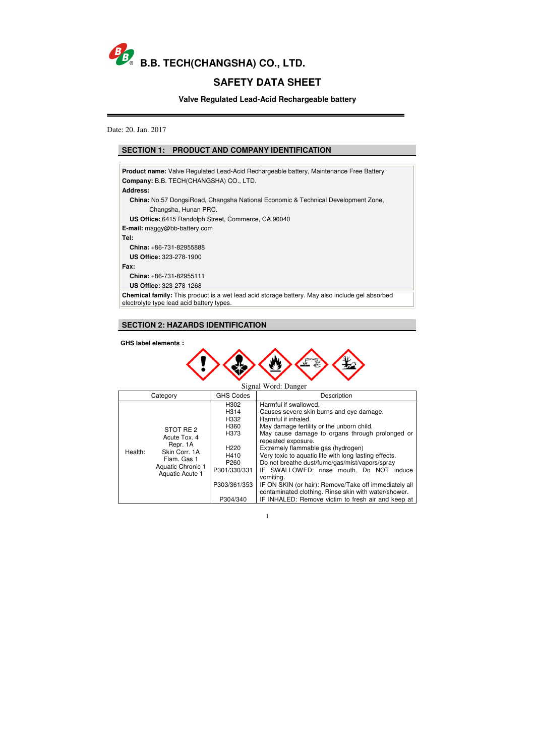

# **SAFETY DATA SHEET**

**Valve Regulated Lead-Acid Rechargeable battery** 

Date: 20. Jan. 2017

| <b>Product name:</b> Valve Regulated Lead-Acid Rechargeable battery, Maintenance Free Battery                                                       |
|-----------------------------------------------------------------------------------------------------------------------------------------------------|
| <b>Company: B.B. TECH(CHANGSHA) CO., LTD.</b>                                                                                                       |
| Address:                                                                                                                                            |
| China: No.57 DongsiRoad, Changsha National Economic & Technical Development Zone,                                                                   |
| Changsha, Hunan PRC.                                                                                                                                |
| <b>US Office:</b> 6415 Randolph Street, Commerce, CA 90040                                                                                          |
| <b>E-mail:</b> maggy@bb-battery.com                                                                                                                 |
| Tel:                                                                                                                                                |
| <b>China:</b> $+86-731-82955888$                                                                                                                    |
| <b>US Office: 323-278-1900</b>                                                                                                                      |
| Fax:                                                                                                                                                |
| <b>China:</b> $+86-731-82955111$                                                                                                                    |
| <b>US Office: 323-278-1268</b>                                                                                                                      |
| <b>Chemical family:</b> This product is a wet lead acid storage battery. May also include gel absorbed<br>electrolyte type lead acid battery types. |
|                                                                                                                                                     |

**GHS label elements**:



| Signal Word: Danger |                                                                                                               |                                                                                                                                               |                                                                                                                                                                                                                                                                                                                                                                                                                                                                                                                                                                                                 |  |
|---------------------|---------------------------------------------------------------------------------------------------------------|-----------------------------------------------------------------------------------------------------------------------------------------------|-------------------------------------------------------------------------------------------------------------------------------------------------------------------------------------------------------------------------------------------------------------------------------------------------------------------------------------------------------------------------------------------------------------------------------------------------------------------------------------------------------------------------------------------------------------------------------------------------|--|
| Category            |                                                                                                               | <b>GHS Codes</b>                                                                                                                              | Description                                                                                                                                                                                                                                                                                                                                                                                                                                                                                                                                                                                     |  |
| Health:             | STOT RE 2<br>Acute Tox, 4<br>Repr. 1A<br>Skin Corr. 1A<br>Flam. Gas 1<br>Aquatic Chronic 1<br>Aquatic Acute 1 | H302<br>H <sub>3</sub> 14<br>H332<br>H360<br>H373<br>H <sub>220</sub><br>H410<br>P <sub>260</sub><br>P301/330/331<br>P303/361/353<br>P304/340 | Harmful if swallowed.<br>Causes severe skin burns and eye damage.<br>Harmful if inhaled.<br>May damage fertility or the unborn child.<br>May cause damage to organs through prolonged or<br>repeated exposure.<br>Extremely flammable gas (hydrogen)<br>Very toxic to aquatic life with long lasting effects.<br>Do not breathe dust/fume/gas/mist/vapors/spray<br>IF SWALLOWED: rinse mouth. Do NOT induce<br>vomiting.<br>IF ON SKIN (or hair): Remove/Take off immediately all<br>contaminated clothing. Rinse skin with water/shower.<br>IF INHALED: Remove victim to fresh air and keep at |  |

# **SECTION 1: PRODUCT AND COMPANY IDENTIFICATION**

# **SECTION 2: HAZARDS IDENTIFICATION**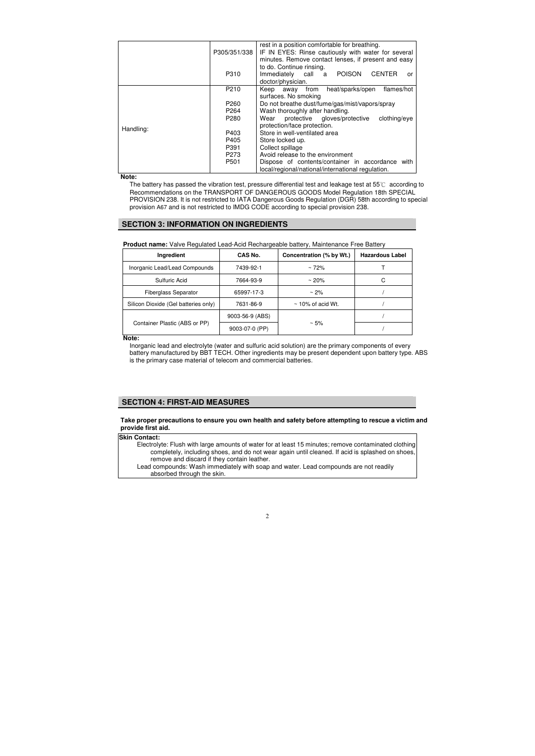|           |                  | rest in a position comfortable for breathing.                                                              |  |  |
|-----------|------------------|------------------------------------------------------------------------------------------------------------|--|--|
|           | P305/351/338     | IF IN EYES: Rinse cautiously with water for several<br>minutes. Remove contact lenses, if present and easy |  |  |
|           |                  | to do. Continue rinsing.                                                                                   |  |  |
|           | P310             | <b>POISON</b><br><b>CENTER</b><br>Immediately<br>call<br>a<br>or                                           |  |  |
|           |                  | doctor/physician.                                                                                          |  |  |
|           | P210             | heat/sparks/open<br>flames/hot<br>Keep<br>from<br>away                                                     |  |  |
|           |                  | surfaces. No smoking                                                                                       |  |  |
|           | P <sub>260</sub> | Do not breathe dust/fume/gas/mist/vapors/spray                                                             |  |  |
|           | P <sub>264</sub> | Wash thoroughly after handling.                                                                            |  |  |
|           | P280             | protective gloves/protective<br>clothing/eye<br>Wear                                                       |  |  |
|           |                  | protection/face protection.                                                                                |  |  |
| Handling: | P403             | Store in well-ventilated area                                                                              |  |  |
|           | P405             | Store locked up.                                                                                           |  |  |
|           | P391             | Collect spillage                                                                                           |  |  |
|           | P273             | Avoid release to the environment                                                                           |  |  |
|           | P <sub>501</sub> | Dispose of contents/container in accordance<br>with                                                        |  |  |
|           |                  | local/regional/national/international regulation.                                                          |  |  |

**Note:** 

The battery has passed the vibration test, pressure differential test and leakage test at 55℃ according to Recommendations on the TRANSPORT OF DANGEROUS GOODS Model Regulation 18th SPECIAL PROVISION 238. It is not restricted to IATA Dangerous Goods Regulation (DGR) 58th according to special provision A67 and is not restricted to IMDG CODE according to special provision 238.

## **SECTION 3: INFORMATION ON INGREDIENTS**

### **Product name:** Valve Regulated Lead-Acid Rechargeable battery, Maintenance Free Battery

| <b>Ingredient</b>                    | CAS No.         | Concentration (% by Wt.) | <b>Hazardous Label</b> |
|--------------------------------------|-----------------|--------------------------|------------------------|
| Inorganic Lead/Lead Compounds        | 7439-92-1       | $~\sim 72\%$             |                        |
| Sulfuric Acid                        | 7664-93-9       | $~\sim 20\%$             | С                      |
| <b>Fiberglass Separator</b>          | 65997-17-3      | $\sim$ 2%                |                        |
| Silicon Dioxide (Gel batteries only) | 7631-86-9       | $\sim$ 10% of acid Wt.   |                        |
|                                      | 9003-56-9 (ABS) |                          |                        |
| Container Plastic (ABS or PP)        | 9003-07-0 (PP)  | $~\sim 5\%$              |                        |

**Note:**

Inorganic lead and electrolyte (water and sulfuric acid solution) are the primary components of every battery manufactured by BBT TECH. Other ingredients may be present dependent upon battery type. ABS is the primary case material of telecom and commercial batteries.

#### **Take proper precautions to ensure you own health and safety before attempting to rescue a victim and provide first aid.**

## **SECTION 4: FIRST-AID MEASURES**

| Skin Contact:                                                                                        |
|------------------------------------------------------------------------------------------------------|
| Electrolyte: Flush with large amounts of water for at least 15 minutes; remove contaminated clothing |
| completely, including shoes, and do not wear again until cleaned. If acid is splashed on shoes,      |
| remove and discard if they contain leather.                                                          |
| Lead compounds: Wash immediately with soap and water. Lead compounds are not readily                 |
| absorbed through the skin.                                                                           |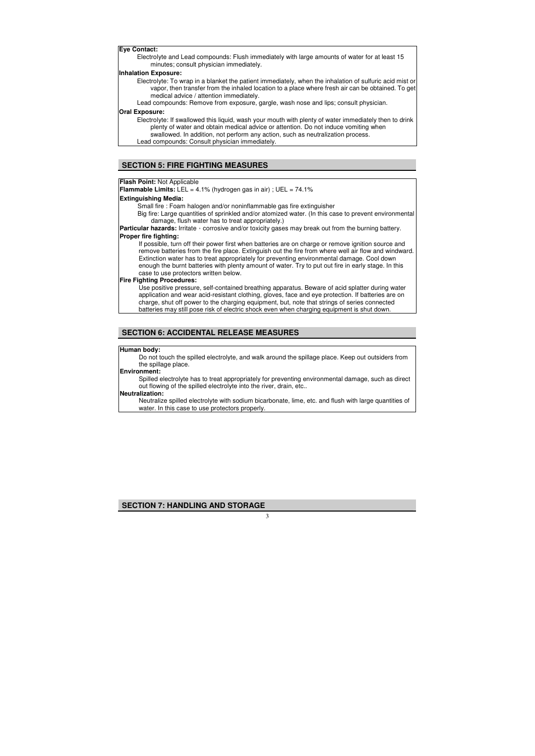#### **Flash Point:** Not Applicable

**Flammable Limits:** LEL = 4.1% (hydrogen gas in air) ; UEL = 74.1%

**Extinguishing Media:**

Small fire : Foam halogen and/or noninflammable gas fire extinguisher

**Particular hazards:** Irritate, corrosive and/or toxicity gases may break out from the burning battery. **Proper fire fighting:** 

Big fire: Large quantities of sprinkled and/or atomized water. (In this case to prevent environmental damage, flush water has to treat appropriately.)

If possible, turn off their power first when batteries are on charge or remove ignition source and remove batteries from the fire place. Extinguish out the fire from where well air flow and windward. Extinction water has to treat appropriately for preventing environmental damage. Cool down enough the burnt batteries with plenty amount of water. Try to put out fire in early stage. In this case to use protectors written below.

#### **Fire Fighting Procedures:**

Use positive pressure, self-contained breathing apparatus. Beware of acid splatter during water application and wear acid-resistant clothing, gloves, face and eye protection. If batteries are on charge, shut off power to the charging equipment, but, note that strings of series connected batteries may still pose risk of electric shock even when charging equipment is shut down.

### **Human body:**

Do not touch the spilled electrolyte, and walk around the spillage place. Keep out outsiders from the spillage place.

#### **Environment:**

Spilled electrolyte has to treat appropriately for preventing environmental damage, such as direct out flowing of the spilled electrolyte into the river, drain, etc..

#### **Neutralization:**

Neutralize spilled electrolyte with sodium bicarbonate, lime, etc. and flush with large quantities of water. In this case to use protectors properly.

**Eye Contact:**

Electrolyte and Lead compounds: Flush immediately with large amounts of water for at least 15 minutes; consult physician immediately.

#### **Inhalation Exposure:**

- Electrolyte: To wrap in a blanket the patient immediately, when the inhalation of sulfuric acid mist or vapor, then transfer from the inhaled location to a place where fresh air can be obtained. To get medical advice / attention immediately.
- Lead compounds: Remove from exposure, gargle, wash nose and lips; consult physician.

#### **Oral Exposure:**

Electrolyte: If swallowed this liquid, wash your mouth with plenty of water immediately then to drink plenty of water and obtain medical advice or attention. Do not induce vomiting when swallowed. In addition, not perform any action, such as neutralization process.

Lead compounds: Consult physician immediately.

# **SECTION 5: FIRE FIGHTING MEASURES**

### **SECTION 6: ACCIDENTAL RELEASE MEASURES**

## **SECTION 7: HANDLING AND STORAGE**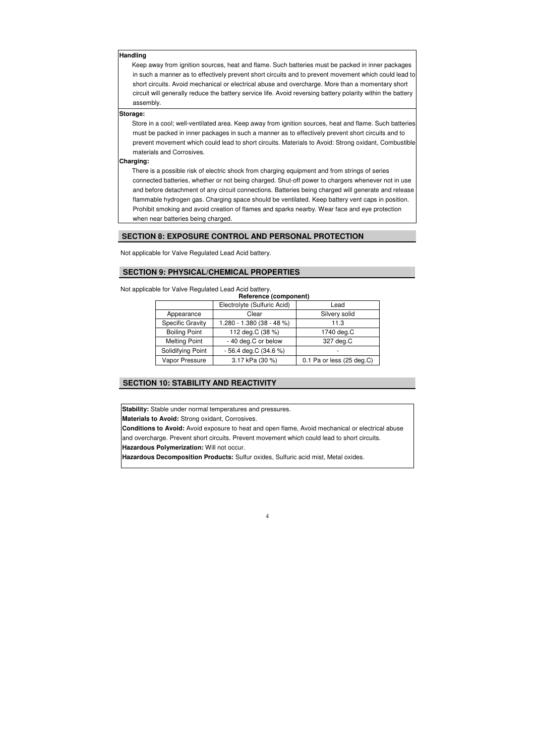Not applicable for Valve Regulated Lead Acid battery.

Not applicable for Valve Regulated Lead Acid battery.

| Reference (component)   |                             |                           |  |  |  |
|-------------------------|-----------------------------|---------------------------|--|--|--|
|                         | Electrolyte (Sulfuric Acid) | Lead                      |  |  |  |
| Appearance              | Clear                       | Silvery solid             |  |  |  |
| <b>Specific Gravity</b> | $1.280 - 1.380(38 - 48%)$   | 11.3                      |  |  |  |
| <b>Boiling Point</b>    | 112 deg.C (38 %)            | 1740 deg.C                |  |  |  |
| <b>Melting Point</b>    | - 40 deg.C or below         | 327 deg.C                 |  |  |  |
| Solidifying Point       | $-56.4$ deg.C (34.6 %)      |                           |  |  |  |
| Vapor Pressure          | 3.17 kPa (30 %)             | 0.1 Pa or less (25 deg.C) |  |  |  |

#### **Handling**

Keep away from ignition sources, heat and flame. Such batteries must be packed in inner packages in such a manner as to effectively prevent short circuits and to prevent movement which could lead to short circuits. Avoid mechanical or electrical abuse and overcharge. More than a momentary short circuit will generally reduce the battery service life. Avoid reversing battery polarity within the battery assembly.

#### **Storage:**

Store in a cool; well-ventilated area. Keep away from ignition sources, heat and flame. Such batteries must be packed in inner packages in such a manner as to effectively prevent short circuits and to prevent movement which could lead to short circuits. Materials to Avoid: Strong oxidant, Combustible materials and Corrosives.

#### **Charging:**

There is a possible risk of electric shock from charging equipment and from strings of series connected batteries, whether or not being charged. Shut-off power to chargers whenever not in use and before detachment of any circuit connections. Batteries being charged will generate and release flammable hydrogen gas. Charging space should be ventilated. Keep battery vent caps in position. Prohibit smoking and avoid creation of flames and sparks nearby. Wear face and eye protection when near batteries being charged.

### **SECTION 8: EXPOSURE CONTROL AND PERSONAL PROTECTION**

# **SECTION 9: PHYSICAL/CHEMICAL PROPERTIES**

### **SECTION 10: STABILITY AND REACTIVITY**

**Stability:** Stable under normal temperatures and pressures.

**Materials to Avoid:** Strong oxidant, Corrosives.

**Conditions to Avoid:** Avoid exposure to heat and open flame, Avoid mechanical or electrical abuse and overcharge. Prevent short circuits. Prevent movement which could lead to short circuits. **Hazardous Polymerization:** Will not occur.

**Hazardous Decomposition Products:** Sulfur oxides, Sulfuric acid mist, Metal oxides.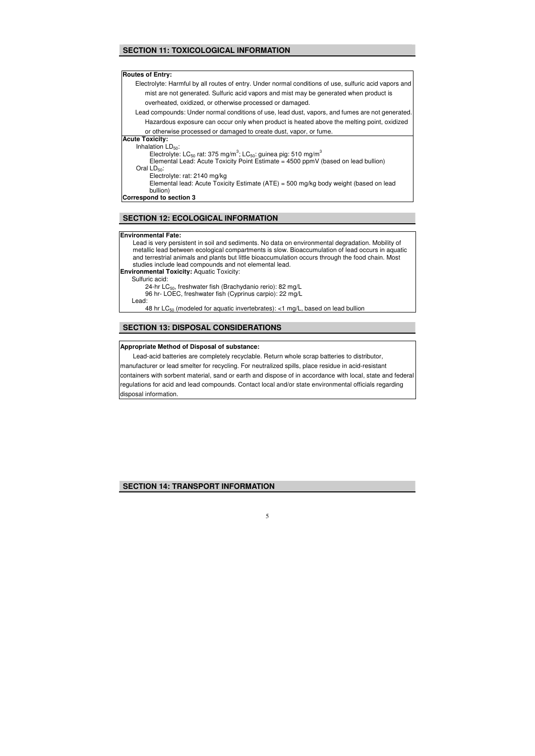Lead is very persistent in soil and sediments. No data on environmental degradation. Mobility of metallic lead between ecological compartments is slow. Bioaccumulation of lead occurs in aquatic and terrestrial animals and plants but little bioaccumulation occurs through the food chain. Most studies include lead compounds and not elemental lead. **Environmental Toxicity:** Aquatic Toxicity: Sulfuric acid: 24-hr  $LC_{50}$ , freshwater fish (Brachydanio rerio): 82 mg/L 96 hr- LOEC, freshwater fish (Cyprinus carpio): 22 mg/L Lead: 48 hr  $LC_{50}$  (modeled for aquatic invertebrates): <1 mg/L, based on lead bullion

#### **Environmental Fate:**

#### **Appropriate Method of Disposal of substance:**

Lead-acid batteries are completely recyclable. Return whole scrap batteries to distributor, manufacturer or lead smelter for recycling. For neutralized spills, place residue in acid-resistant containers with sorbent material, sand or earth and dispose of in accordance with local, state and federal regulations for acid and lead compounds. Contact local and/or state environmental officials regarding disposal information.

## **SECTION 11: TOXICOLOGICAL INFORMATION**

#### **Routes of Entry:**

Electrolyte: Harmful by all routes of entry. Under normal conditions of use, sulfuric acid vapors and mist are not generated. Sulfuric acid vapors and mist may be generated when product is overheated, oxidized, or otherwise processed or damaged.

Lead compounds: Under normal conditions of use, lead dust, vapors, and fumes are not generated. Hazardous exposure can occur only when product is heated above the melting point, oxidized

or otherwise processed or damaged to create dust, vapor, or fume.

### **Acute Toxicity:**

Inhalation  $LD_{50}$ :

Electrolyte: LC<sub>50</sub> rat: 375 mg/m<sup>3</sup>; LC<sub>50</sub>: guinea pig: 510 mg/m<sup>3</sup>

Elemental Lead: Acute Toxicity Point Estimate = 4500 ppmV (based on lead bullion)

Oral  $LD_{50}$ :

Electrolyte: rat: 2140 mg/kg

Elemental lead: Acute Toxicity Estimate (ATE) = 500 mg/kg body weight (based on lead bullion)

**Correspond to section 3**

## **SECTION 12: ECOLOGICAL INFORMATION**

### **SECTION 13: DISPOSAL CONSIDERATIONS**

### **SECTION 14: TRANSPORT INFORMATION**